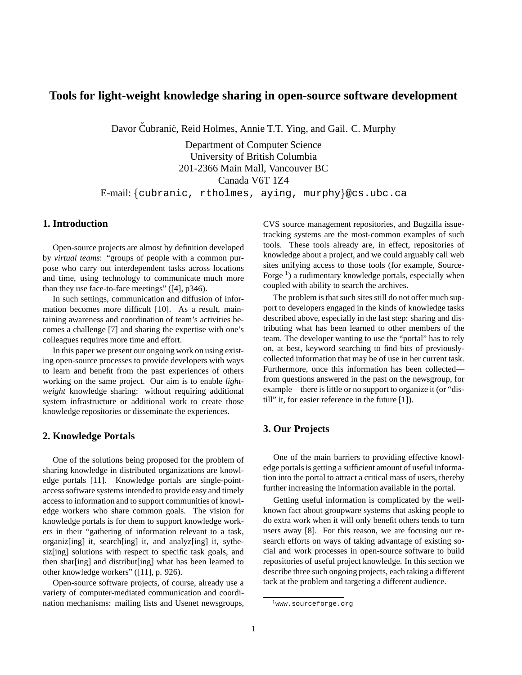# **Tools for light-weight knowledge sharing in open-source software development**

Davor Čubranić, Reid Holmes, Annie T.T. Ying, and Gail. C. Murphy

Department of Computer Science University of British Columbia 201-2366 Main Mall, Vancouver BC Canada V6T 1Z4 E-mail:{cubranic, rtholmes, aying, murphy}@cs.ubc.ca

### **1. Introduction**

Open-source projects are almost by definition developed by *virtual teams*: "groups of people with a common purpose who carry out interdependent tasks across locations and time, using technology to communicate much more than they use face-to-face meetings" ([4], p346).

In such settings, communication and diffusion of information becomes more difficult [10]. As a result, maintaining awareness and coordination of team's activities becomes a challenge [7] and sharing the expertise with one's colleagues requires more time and effort.

In this paper we present our ongoing work on using existing open-source processes to provide developers with ways to learn and benefit from the past experiences of others working on the same project. Our aim is to enable *lightweight* knowledge sharing: without requiring additional system infrastructure or additional work to create those knowledge repositories or disseminate the experiences.

### **2. Knowledge Portals**

One of the solutions being proposed for the problem of sharing knowledge in distributed organizations are knowledge portals [11]. Knowledge portals are single-pointaccesssoftware systems intended to provide easy and timely access to information and to support communities of knowledge workers who share common goals. The vision for knowledge portals is for them to support knowledge workers in their "gathering of information relevant to a task, organiz[ing] it, search[ing] it, and analyz[ing] it, sythesiz[ing] solutions with respect to specific task goals, and then shar[ing] and distribut[ing] what has been learned to other knowledge workers" ([11], p. 926).

Open-source software projects, of course, already use a variety of computer-mediated communication and coordination mechanisms: mailing lists and Usenet newsgroups, CVS source management repositories, and Bugzilla issuetracking systems are the most-common examples of such tools. These tools already are, in effect, repositories of knowledge about a project, and we could arguably call web sites unifying access to those tools (for example, Source-Forge<sup>1</sup>) a rudimentary knowledge portals, especially when coupled with ability to search the archives.

The problem is that such sites still do not offer much support to developers engaged in the kinds of knowledge tasks described above, especially in the last step: sharing and distributing what has been learned to other members of the team. The developer wanting to use the "portal" has to rely on, at best, keyword searching to find bits of previouslycollected information that may be of use in her current task. Furthermore, once this information has been collected from questions answered in the past on the newsgroup, for example—there is little or no support to organize it (or "distill" it, for easier reference in the future [1]).

# **3. Our Projects**

One of the main barriers to providing effective knowledge portals is getting a sufficient amount of useful information into the portal to attract a critical mass of users, thereby further increasing the information available in the portal.

Getting useful information is complicated by the wellknown fact about groupware systems that asking people to do extra work when it will only benefit others tends to turn users away [8]. For this reason, we are focusing our research efforts on ways of taking advantage of existing social and work processes in open-source software to build repositories of useful project knowledge. In this section we describe three such ongoing projects, each taking a different tack at the problem and targeting a different audience.

<sup>1</sup>www.sourceforge.org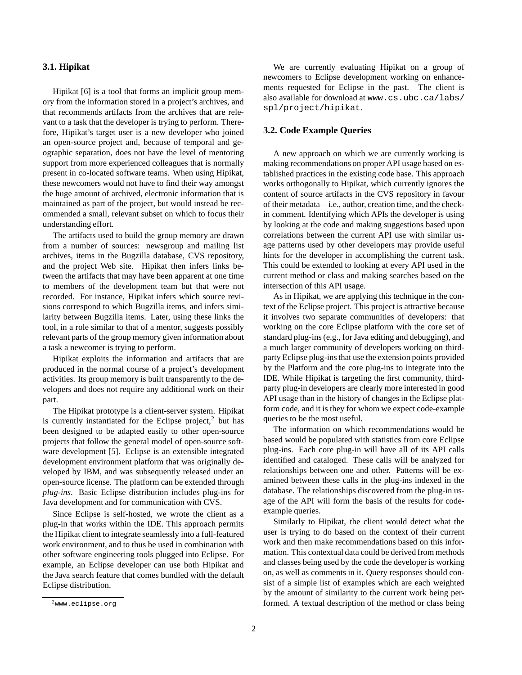### **3.1. Hipikat**

Hipikat [6] is a tool that forms an implicit group memory from the information stored in a project's archives, and that recommends artifacts from the archives that are relevant to a task that the developer is trying to perform. Therefore, Hipikat's target user is a new developer who joined an open-source project and, because of temporal and geographic separation, does not have the level of mentoring support from more experienced colleagues that is normally present in co-located software teams. When using Hipikat, these newcomers would not have to find their way amongst the huge amount of archived, electronic information that is maintained as part of the project, but would instead be recommended a small, relevant subset on which to focus their understanding effort.

The artifacts used to build the group memory are drawn from a number of sources: newsgroup and mailing list archives, items in the Bugzilla database, CVS repository, and the project Web site. Hipikat then infers links between the artifacts that may have been apparent at one time to members of the development team but that were not recorded. For instance, Hipikat infers which source revisions correspond to which Bugzilla items, and infers similarity between Bugzilla items. Later, using these links the tool, in a role similar to that of a mentor, suggests possibly relevant parts of the group memory given information about a task a newcomer is trying to perform.

Hipikat exploits the information and artifacts that are produced in the normal course of a project's development activities. Its group memory is built transparently to the developers and does not require any additional work on their part.

The Hipikat prototype is a client-server system. Hipikat is currently instantiated for the Eclipse project, $2$  but has been designed to be adapted easily to other open-source projects that follow the general model of open-source software development [5]. Eclipse is an extensible integrated development environment platform that was originally developed by IBM, and was subsequently released under an open-source license. The platform can be extended through *plug-ins*. Basic Eclipse distribution includes plug-ins for Java development and for communication with CVS.

Since Eclipse is self-hosted, we wrote the client as a plug-in that works within the IDE. This approach permits the Hipikat client to integrate seamlessly into a full-featured work environment, and to thus be used in combination with other software engineering tools plugged into Eclipse. For example, an Eclipse developer can use both Hipikat and the Java search feature that comes bundled with the default Eclipse distribution.

We are currently evaluating Hipikat on a group of newcomers to Eclipse development working on enhancements requested for Eclipse in the past. The client is also available for download at www.cs.ubc.ca/labs/ spl/project/hipikat.

### **3.2. Code Example Queries**

A new approach on which we are currently working is making recommendations on proper API usage based on established practices in the existing code base. This approach works orthogonally to Hipikat, which currently ignores the content of source artifacts in the CVS repository in favour of their metadata—i.e., author, creation time, and the checkin comment. Identifying which APIs the developer is using by looking at the code and making suggestions based upon correlations between the current API use with similar usage patterns used by other developers may provide useful hints for the developer in accomplishing the current task. This could be extended to looking at every API used in the current method or class and making searches based on the intersection of this API usage.

As in Hipikat, we are applying this technique in the context of the Eclipse project. This project is attractive because it involves two separate communities of developers: that working on the core Eclipse platform with the core set of standard plug-ins (e.g., for Java editing and debugging), and a much larger community of developers working on thirdparty Eclipse plug-insthat use the extension points provided by the Platform and the core plug-ins to integrate into the IDE. While Hipikat is targeting the first community, thirdparty plug-in developers are clearly more interested in good API usage than in the history of changes in the Eclipse platform code, and it is they for whom we expect code-example queries to be the most useful.

The information on which recommendations would be based would be populated with statistics from core Eclipse plug-ins. Each core plug-in will have all of its API calls identified and cataloged. These calls will be analyzed for relationships between one and other. Patterns will be examined between these calls in the plug-ins indexed in the database. The relationships discovered from the plug-in usage of the API will form the basis of the results for codeexample queries.

Similarly to Hipikat, the client would detect what the user is trying to do based on the context of their current work and then make recommendations based on this information. This contextual data could be derived from methods and classes being used by the code the developer is working on, as well as comments in it. Query responses should consist of a simple list of examples which are each weighted by the amount of similarity to the current work being performed. A textual description of the method or class being

<sup>2</sup>www.eclipse.org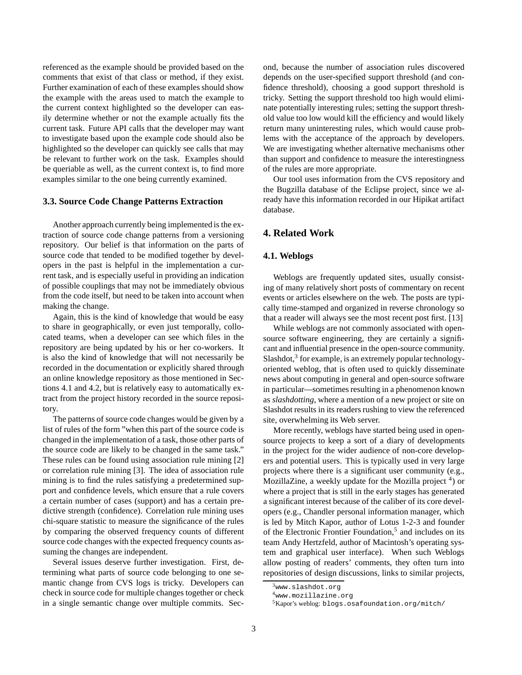referenced as the example should be provided based on the comments that exist of that class or method, if they exist. Further examination of each of these examples should show the example with the areas used to match the example to the current context highlighted so the developer can easily determine whether or not the example actually fits the current task. Future API calls that the developer may want to investigate based upon the example code should also be highlighted so the developer can quickly see calls that may be relevant to further work on the task. Examples should be queriable as well, as the current context is, to find more examples similar to the one being currently examined.

### **3.3. Source Code Change Patterns Extraction**

Another approach currently being implemented is the extraction of source code change patterns from a versioning repository. Our belief is that information on the parts of source code that tended to be modified together by developers in the past is helpful in the implementation a current task, and is especially useful in providing an indication of possible couplings that may not be immediately obvious from the code itself, but need to be taken into account when making the change.

Again, this is the kind of knowledge that would be easy to share in geographically, or even just temporally, collocated teams, when a developer can see which files in the repository are being updated by his or her co-workers. It is also the kind of knowledge that will not necessarily be recorded in the documentation or explicitly shared through an online knowledge repository as those mentioned in Sections 4.1 and 4.2, but is relatively easy to automatically extract from the project history recorded in the source repository.

The patterns of source code changes would be given by a list of rules of the form "when this part of the source code is changed in the implementation of a task, those other parts of the source code are likely to be changed in the same task." These rules can be found using association rule mining [2] or correlation rule mining [3]. The idea of association rule mining is to find the rules satisfying a predetermined support and confidence levels, which ensure that a rule covers a certain number of cases (support) and has a certain predictive strength (confidence). Correlation rule mining uses chi-square statistic to measure the significance of the rules by comparing the observed frequency counts of different source code changes with the expected frequency counts assuming the changes are independent.

Several issues deserve further investigation. First, determining what parts of source code belonging to one semantic change from CVS logs is tricky. Developers can check in source code for multiple changes together or check in a single semantic change over multiple commits. Second, because the number of association rules discovered depends on the user-specified support threshold (and confidence threshold), choosing a good support threshold is tricky. Setting the support threshold too high would eliminate potentially interesting rules; setting the support threshold value too low would kill the efficiency and would likely return many uninteresting rules, which would cause problems with the acceptance of the approach by developers. We are investigating whether alternative mechanisms other than support and confidence to measure the interestingness of the rules are more appropriate.

Our tool uses information from the CVS repository and the Bugzilla database of the Eclipse project, since we already have this information recorded in our Hipikat artifact database.

## **4. Related Work**

#### **4.1. Weblogs**

Weblogs are frequently updated sites, usually consisting of many relatively short posts of commentary on recent events or articles elsewhere on the web. The posts are typically time-stamped and organized in reverse chronology so that a reader will always see the most recent post first. [13]

While weblogs are not commonly associated with opensource software engineering, they are certainly a significant and influential presence in the open-source community. Slashdot,<sup>3</sup> for example, is an extremely popular technologyoriented weblog, that is often used to quickly disseminate news about computing in general and open-source software in particular—sometimes resulting in a phenomenon known as *slashdotting*, where a mention of a new project or site on Slashdot results in its readers rushing to view the referenced site, overwhelming its Web server.

More recently, weblogs have started being used in opensource projects to keep a sort of a diary of developments in the project for the wider audience of non-core developers and potential users. This is typically used in very large projects where there is a significant user community (e.g., MozillaZine, a weekly update for the Mozilla project <sup>4</sup>) or where a project that is still in the early stages has generated a significant interest because of the caliber of its core developers (e.g., Chandler personal information manager, which is led by Mitch Kapor, author of Lotus 1-2-3 and founder of the Electronic Frontier Foundation,<sup>5</sup> and includes on its team Andy Hertzfeld, author of Macintosh's operating system and graphical user interface). When such Weblogs allow posting of readers' comments, they often turn into repositories of design discussions, links to similar projects,

<sup>3</sup>www.slashdot.org

<sup>4</sup>www.mozillazine.org

<sup>5</sup>Kapor's weblog: blogs.osafoundation.org/mitch/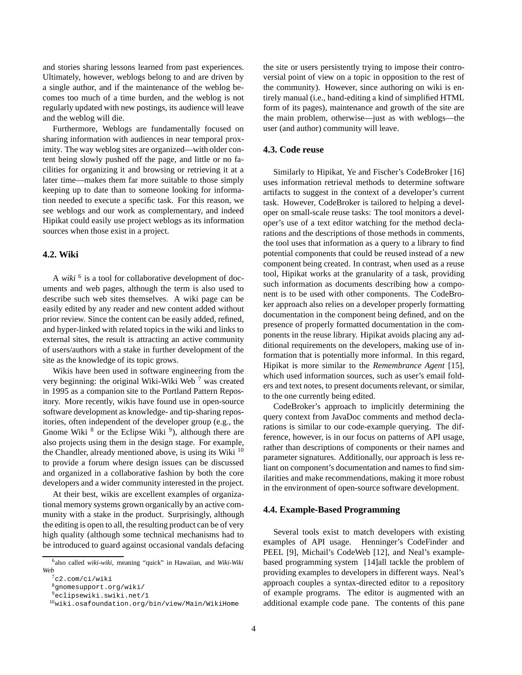and stories sharing lessons learned from past experiences. Ultimately, however, weblogs belong to and are driven by a single author, and if the maintenance of the weblog becomes too much of a time burden, and the weblog is not regularly updated with new postings, its audience will leave and the weblog will die.

Furthermore, Weblogs are fundamentally focused on sharing information with audiences in near temporal proximity. The way weblog sites are organized—with older content being slowly pushed off the page, and little or no facilities for organizing it and browsing or retrieving it at a later time—makes them far more suitable to those simply keeping up to date than to someone looking for information needed to execute a specific task. For this reason, we see weblogs and our work as complementary, and indeed Hipikat could easily use project weblogs as its information sources when those exist in a project.

### **4.2. Wiki**

A *wiki* <sup>6</sup> is a tool for collaborative development of documents and web pages, although the term is also used to describe such web sites themselves. A wiki page can be easily edited by any reader and new content added without prior review. Since the content can be easily added, refined, and hyper-linked with related topics in the wiki and links to external sites, the result is attracting an active community of users/authors with a stake in further development of the site as the knowledge of its topic grows.

Wikis have been used in software engineering from the very beginning: the original Wiki-Wiki Web  $<sup>7</sup>$  was created</sup> in 1995 as a companion site to the Portland Pattern Repository. More recently, wikis have found use in open-source software development as knowledge- and tip-sharing repositories, often independent of the developer group (e.g., the Gnome Wiki  $<sup>8</sup>$  or the Eclipse Wiki  $<sup>9</sup>$ ), although there are</sup></sup> also projects using them in the design stage. For example, the Chandler, already mentioned above, is using its Wiki  $10$ to provide a forum where design issues can be discussed and organized in a collaborative fashion by both the core developers and a wider community interested in the project.

At their best, wikis are excellent examples of organizational memory systems grown organically by an active community with a stake in the product. Surprisingly, although the editing is open to all, the resulting product can be of very high quality (although some technical mechanisms had to be introduced to guard against occasional vandals defacing the site or users persistently trying to impose their controversial point of view on a topic in opposition to the rest of the community). However, since authoring on wiki is entirely manual (i.e., hand-editing a kind of simplified HTML form of its pages), maintenance and growth of the site are the main problem, otherwise—just as with weblogs—the user (and author) community will leave.

### **4.3. Code reuse**

Similarly to Hipikat, Ye and Fischer's CodeBroker [16] uses information retrieval methods to determine software artifacts to suggest in the context of a developer's current task. However, CodeBroker is tailored to helping a developer on small-scale reuse tasks: The tool monitors a developer's use of a text editor watching for the method declarations and the descriptions of those methods in comments, the tool uses that information as a query to a library to find potential components that could be reused instead of a new component being created. In contrast, when used as a reuse tool, Hipikat works at the granularity of a task, providing such information as documents describing how a component is to be used with other components. The CodeBroker approach also relies on a developer properly formatting documentation in the component being defined, and on the presence of properly formatted documentation in the components in the reuse library. Hipikat avoids placing any additional requirements on the developers, making use of information that is potentially more informal. In this regard, Hipikat is more similar to the *Remembrance Agent* [15], which used information sources, such as user's email folders and text notes, to present documents relevant, or similar, to the one currently being edited.

CodeBroker's approach to implicitly determining the query context from JavaDoc comments and method declarations is similar to our code-example querying. The difference, however, is in our focus on patterns of API usage, rather than descriptions of components or their names and parameter signatures. Additionally, our approach is less reliant on component's documentation and names to find similarities and make recommendations, making it more robust in the environment of open-source software development.

#### **4.4. Example-Based Programming**

Several tools exist to match developers with existing examples of API usage. Henninger's CodeFinder and PEEL [9], Michail's CodeWeb [12], and Neal's examplebased programming system [14]all tackle the problem of providing examples to developers in different ways. Neal's approach couples a syntax-directed editor to a repository of example programs. The editor is augmented with an additional example code pane. The contents of this pane

<sup>6</sup> also called *wiki-wiki*, meaning "quick" in Hawaiian, and *Wiki-Wiki Web*

 $7c2$ .com/ci/wiki

<sup>8</sup>gnomesupport.org/wiki/

<sup>9</sup>eclipsewiki.swiki.net/1

 $10$ wiki.osafoundation.org/bin/view/Main/WikiHome